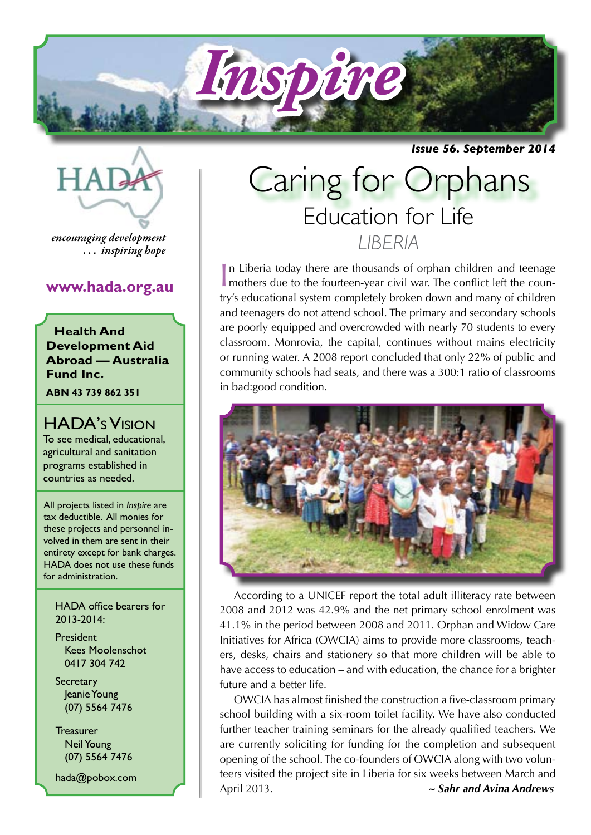

*Issue 56. September 2014*



*encouraging development . . . inspiring hope*

#### **www.hada.org.au**

**Health And Development Aid Abroad — Australia Fund Inc.**

**ABN 43 739 862 351**

HADA's Vision To see medical, educational, agricultural and sanitation programs established in countries as needed.

All projects listed in *Inspire* are tax deductible. All monies for these projects and personnel involved in them are sent in their entirety except for bank charges. HADA does not use these funds for administration.

HADA office bearers for 2013-2014:

President Kees Moolenschot 0417 304 742

**Secretary**  Jeanie Young (07) 5564 7476

**Treasurer**  Neil Young (07) 5564 7476

hada@pobox.com

# Education for Life *LIBERIA* Caring for Orphans

In Liberia today there are thousands of orphan children and teenage mothers due to the fourteen-year civil war. The conflict left the counn Liberia today there are thousands of orphan children and teenage try's educational system completely broken down and many of children and teenagers do not attend school. The primary and secondary schools are poorly equipped and overcrowded with nearly 70 students to every classroom. Monrovia, the capital, continues without mains electricity or running water. A 2008 report concluded that only 22% of public and community schools had seats, and there was a 300:1 ratio of classrooms in bad:good condition.



According to a UNICEF report the total adult illiteracy rate between 2008 and 2012 was 42.9% and the net primary school enrolment was 41.1% in the period between 2008 and 2011. Orphan and Widow Care Initiatives for Africa (OWCIA) aims to provide more classrooms, teachers, desks, chairs and stationery so that more children will be able to have access to education – and with education, the chance for a brighter future and a better life.

OWCIA has almost finished the construction a five-classroom primary school building with a six-room toilet facility. We have also conducted further teacher training seminars for the already qualified teachers. We are currently soliciting for funding for the completion and subsequent opening of the school. The co-founders of OWCIA along with two volunteers visited the project site in Liberia for six weeks between March and April 2013. *~ Sahr and Avina Andrews*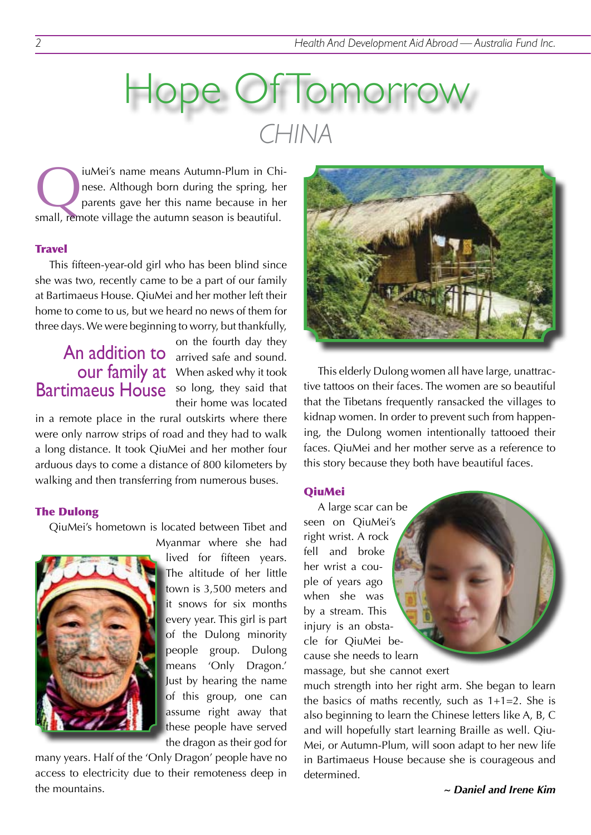# Iomorr *CHINA*

iuMei's name means Autumn-Plum in Chi-<br>nese. Although born during the spring, her<br>parents gave her this name because in her nese. Although born during the spring, her parents gave her this name because in her small, remote village the autumn season is beautiful.

#### **Travel**

This fifteen-year-old girl who has been blind since she was two, recently came to be a part of our family at Bartimaeus House. QiuMei and her mother left their home to come to us, but we heard no news of them for three days. We were beginning to worry, but thankfully,

# Bartimaeus House so long, they said that

on the fourth day they An addition to arrived safe and sound. our family at When asked why it took their home was located

in a remote place in the rural outskirts where there were only narrow strips of road and they had to walk a long distance. It took QiuMei and her mother four arduous days to come a distance of 800 kilometers by walking and then transferring from numerous buses.

#### The Dulong

QiuMei's hometown is located between Tibet and



Myanmar where she had lived for fifteen years. The altitude of her little town is 3,500 meters and it snows for six months every year. This girl is part of the Dulong minority people group. Dulong means 'Only Dragon.' Just by hearing the name of this group, one can assume right away that these people have served the dragon as their god for

many years. Half of the 'Only Dragon' people have no access to electricity due to their remoteness deep in the mountains.



This elderly Dulong women all have large, unattractive tattoos on their faces. The women are so beautiful that the Tibetans frequently ransacked the villages to kidnap women. In order to prevent such from happening, the Dulong women intentionally tattooed their faces. QiuMei and her mother serve as a reference to this story because they both have beautiful faces.

#### **QiuMei**

A large scar can be seen on QiuMei's right wrist. A rock fell and broke her wrist a couple of years ago when she was by a stream. This injury is an obstacle for QiuMei because she needs to learn

massage, but she cannot exert

much strength into her right arm. She began to learn the basics of maths recently, such as  $1+1=2$ . She is also beginning to learn the Chinese letters like A, B, C and will hopefully start learning Braille as well. Qiu-Mei, or Autumn-Plum, will soon adapt to her new life in Bartimaeus House because she is courageous and determined.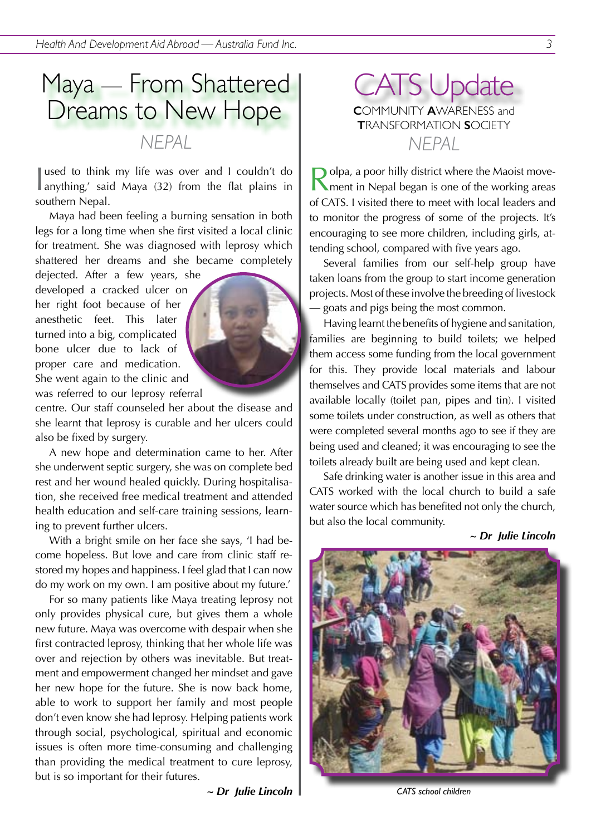## Maya — From Shattered Dreams to New Hope *NEPAL NEPAL*

I used to think my life was over and I couldn't do anything,' said Maya (32) from the flat plains in used to think my life was over and I couldn't do southern Nepal.

Maya had been feeling a burning sensation in both legs for a long time when she first visited a local clinic for treatment. She was diagnosed with leprosy which shattered her dreams and she became completely

dejected. After a few years, she developed a cracked ulcer on her right foot because of her anesthetic feet. This later turned into a big, complicated bone ulcer due to lack of proper care and medication. She went again to the clinic and was referred to our leprosy referral



centre. Our staff counseled her about the disease and she learnt that leprosy is curable and her ulcers could also be fixed by surgery.

A new hope and determination came to her. After she underwent septic surgery, she was on complete bed rest and her wound healed quickly. During hospitalisation, she received free medical treatment and attended health education and self-care training sessions, learning to prevent further ulcers.

With a bright smile on her face she says, 'I had become hopeless. But love and care from clinic staff restored my hopes and happiness. I feel glad that I can now do my work on my own. I am positive about my future.'

For so many patients like Maya treating leprosy not only provides physical cure, but gives them a whole new future. Maya was overcome with despair when she first contracted leprosy, thinking that her whole life was over and rejection by others was inevitable. But treatment and empowerment changed her mindset and gave her new hope for the future. She is now back home, able to work to support her family and most people don't even know she had leprosy. Helping patients work through social, psychological, spiritual and economic issues is often more time-consuming and challenging than providing the medical treatment to cure leprosy, but is so important for their futures.

ATS Update **C**OMMUNITY **A**WARENESS and **T**RANSFORMATION **S**OCIETY

 $\bigcap$  olpa, a poor hilly district where the Maoist movement in Nepal began is one of the working areas of CATS. I visited there to meet with local leaders and to monitor the progress of some of the projects. It's encouraging to see more children, including girls, attending school, compared with five years ago.

Several families from our self-help group have taken loans from the group to start income generation projects. Most of these involve the breeding of livestock — goats and pigs being the most common.

Having learnt the benefits of hygiene and sanitation, families are beginning to build toilets; we helped them access some funding from the local government for this. They provide local materials and labour themselves and CATS provides some items that are not available locally (toilet pan, pipes and tin). I visited some toilets under construction, as well as others that were completed several months ago to see if they are being used and cleaned; it was encouraging to see the toilets already built are being used and kept clean.

Safe drinking water is another issue in this area and CATS worked with the local church to build a safe water source which has benefited not only the church, but also the local community.

*~ Dr Julie Lincoln*



*CATS school children*

*<sup>~</sup> Dr Julie Lincoln*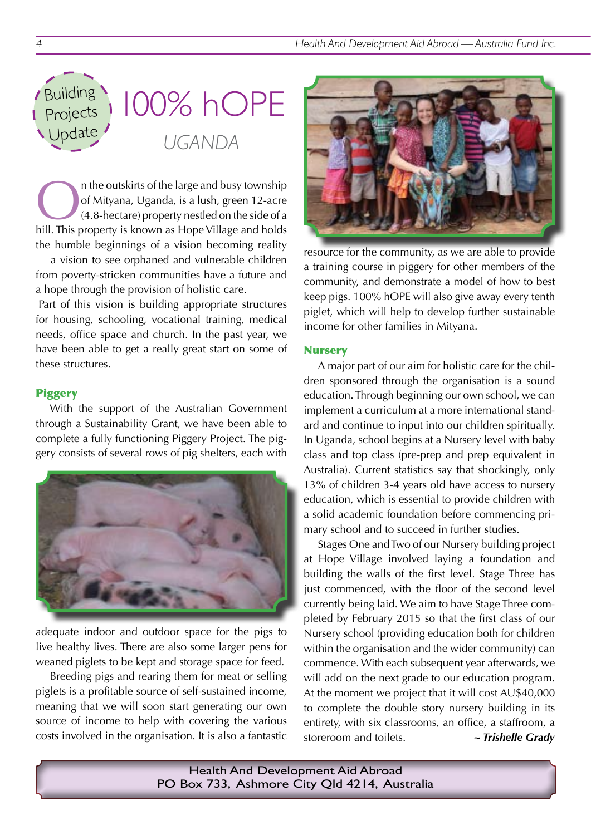

n the outskirts of the large and busy township of Mityana, Uganda, is a lush, green 12-acre (4.8-hectare) property nestled on the side of a hill. This property is known as Hope Village and holds the humble beginnings of a vision becoming reality — a vision to see orphaned and vulnerable children from poverty-stricken communities have a future and a hope through the provision of holistic care.

Part of this vision is building appropriate structures for housing, schooling, vocational training, medical needs, office space and church. In the past year, we have been able to get a really great start on some of these structures.

#### Piggery

With the support of the Australian Government through a Sustainability Grant, we have been able to complete a fully functioning Piggery Project. The piggery consists of several rows of pig shelters, each with



adequate indoor and outdoor space for the pigs to live healthy lives. There are also some larger pens for weaned piglets to be kept and storage space for feed.

Breeding pigs and rearing them for meat or selling piglets is a profitable source of self-sustained income, meaning that we will soon start generating our own source of income to help with covering the various costs involved in the organisation. It is also a fantastic



resource for the community, as we are able to provide a training course in piggery for other members of the community, and demonstrate a model of how to best keep pigs. 100% hOPE will also give away every tenth piglet, which will help to develop further sustainable income for other families in Mityana.

#### **Nursery**

A major part of our aim for holistic care for the children sponsored through the organisation is a sound education. Through beginning our own school, we can implement a curriculum at a more international standard and continue to input into our children spiritually. In Uganda, school begins at a Nursery level with baby class and top class (pre-prep and prep equivalent in Australia). Current statistics say that shockingly, only 13% of children 3-4 years old have access to nursery education, which is essential to provide children with a solid academic foundation before commencing primary school and to succeed in further studies.

Stages One and Two of our Nursery building project at Hope Village involved laying a foundation and building the walls of the first level. Stage Three has just commenced, with the floor of the second level currently being laid. We aim to have Stage Three completed by February 2015 so that the first class of our Nursery school (providing education both for children within the organisation and the wider community) can commence. With each subsequent year afterwards, we will add on the next grade to our education program. At the moment we project that it will cost AU\$40,000 to complete the double story nursery building in its entirety, with six classrooms, an office, a staffroom, a storeroom and toilets. *~ Trishelle Grady*

Health And Development Aid Abroad PO Box 733, Ashmore City Qld 4214, Australia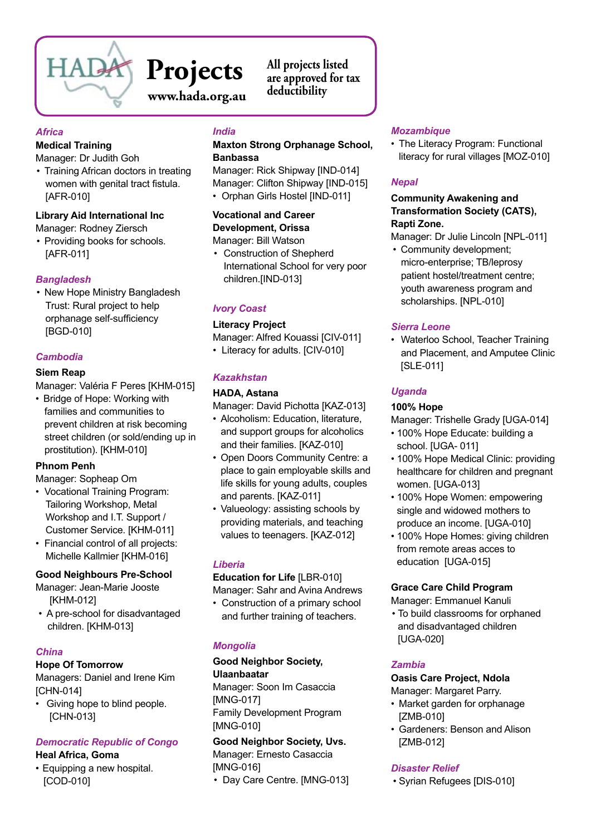

### **Projects www.hada.org.au**

**All projects listed are approved for tax deductibility**

#### *Africa*

#### **Medical Training**

Manager: Dr Judith Goh

• Training African doctors in treating women with genital tract fistula. [AFR-010]

#### **Library Aid International Inc**

Manager: Rodney Ziersch

• Providing books for schools. [AFR-011]

#### *Bangladesh*

• New Hope Ministry Bangladesh Trust: Rural project to help orphanage self-sufficiency [BGD-010]

#### *Cambodia*

#### **Siem Reap**

Manager: Valéria F Peres [KHM-015]

• Bridge of Hope: Working with families and communities to prevent children at risk becoming street children (or sold/ending up in prostitution). [KHM-010]

#### **Phnom Penh**

Manager: Sopheap Om

- Vocational Training Program: Tailoring Workshop, Metal Workshop and I.T. Support / Customer Service. [KHM-011]
- Financial control of all projects: Michelle Kallmier [KHM-016]

#### **Good Neighbours Pre-School**

- Manager: Jean-Marie Jooste [KHM-012]
- A pre-school for disadvantaged children. [KHM-013]

#### *China*

#### **Hope Of Tomorrow**

Managers: Daniel and Irene Kim [CHN-014]

• Giving hope to blind people. [CHN-013]

#### *Democratic Republic of Congo*

**Heal Africa, Goma**

• Equipping a new hospital. [COD-010]

#### *India*

#### **Maxton Strong Orphanage School, Banbassa**

Manager: Rick Shipway [IND-014] Manager: Clifton Shipway [IND-015]

• Orphan Girls Hostel [IND-011]

#### **Vocational and Career Development, Orissa** Manager: Bill Watson

• Construction of Shepherd International School for very poor children.[IND-013]

#### *Ivory Coast*

#### **Literacy Project**

Manager: Alfred Kouassi [CIV-011] • Literacy for adults. [CIV-010]

#### *Kazakhstan*

#### **HADA, Astana**

Manager: David Pichotta [KAZ-013]

- Alcoholism: Education, literature, and support groups for alcoholics and their families. [KAZ-010]
- Open Doors Community Centre: a place to gain employable skills and life skills for young adults, couples and parents. [KAZ-011]
- Valueology: assisting schools by providing materials, and teaching values to teenagers. [KAZ-012]

#### *Liberia*

#### **Education for Life** [LBR-010]

Manager: Sahr and Avina Andrews

• Construction of a primary school and further training of teachers.

#### *Mongolia*

#### **Good Neighbor Society, Ulaanbaatar**

Manager: Soon Im Casaccia [MNG-017] Family Development Program [MNG-010]

**Good Neighbor Society, Uvs.**  Manager: Ernesto Casaccia [MNG-016] • Day Care Centre. [MNG-013]

#### *Mozambique*

• The Literacy Program: Functional literacy for rural villages [MOZ-010]

#### *Nepal*

#### **Community Awakening and Transformation Society (CATS), Rapti Zone.**

Manager: Dr Julie Lincoln [NPL-011]

• Community development; micro-enterprise; TB/leprosy patient hostel/treatment centre; youth awareness program and scholarships. [NPL-010]

#### *Sierra Leone*

• Waterloo School, Teacher Training and Placement, and Amputee Clinic [SLE-011]

#### *Uganda*

#### **100% Hope**

Manager: Trishelle Grady [UGA-014]

- 100% Hope Educate: building a school. [UGA- 011]
- 100% Hope Medical Clinic: providing healthcare for children and pregnant women. [UGA-013]
- 100% Hope Women: empowering single and widowed mothers to produce an income. [UGA-010]
- 100% Hope Homes: giving children from remote areas acces to education [UGA-015]

#### **Grace Care Child Program**

Manager: Emmanuel Kanuli

• To build classrooms for orphaned and disadvantaged children [UGA-020]

#### *Zambia*

#### **Oasis Care Project, Ndola**

Manager: Margaret Parry.

- Market garden for orphanage [ZMB-010]
- • Gardeners: Benson and Alison [ZMB-012]

#### *Disaster Relief*

• Syrian Refugees [DIS-010]